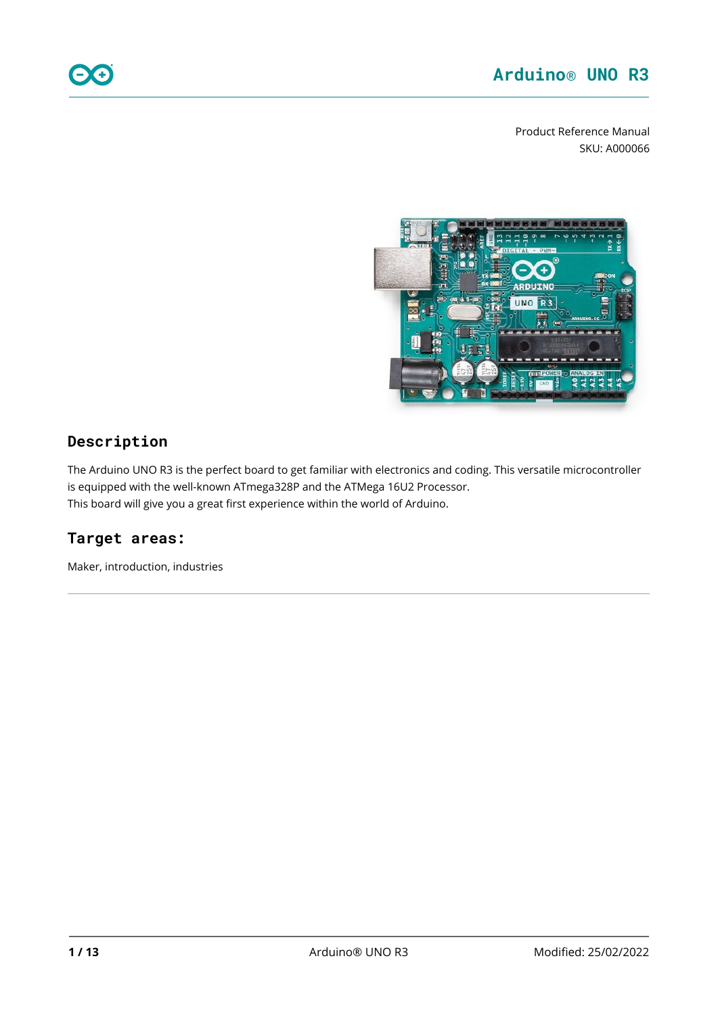Product Reference Manual SKU: A000066



## **Description**

The Arduino UNO R3 is the perfect board to get familiar with electronics and coding. This versatile microcontroller is equipped with the well-known ATmega328P and the ATMega 16U2 Processor. This board will give you a great first experience within the world of Arduino.

# **Target areas:**

Maker, introduction, industries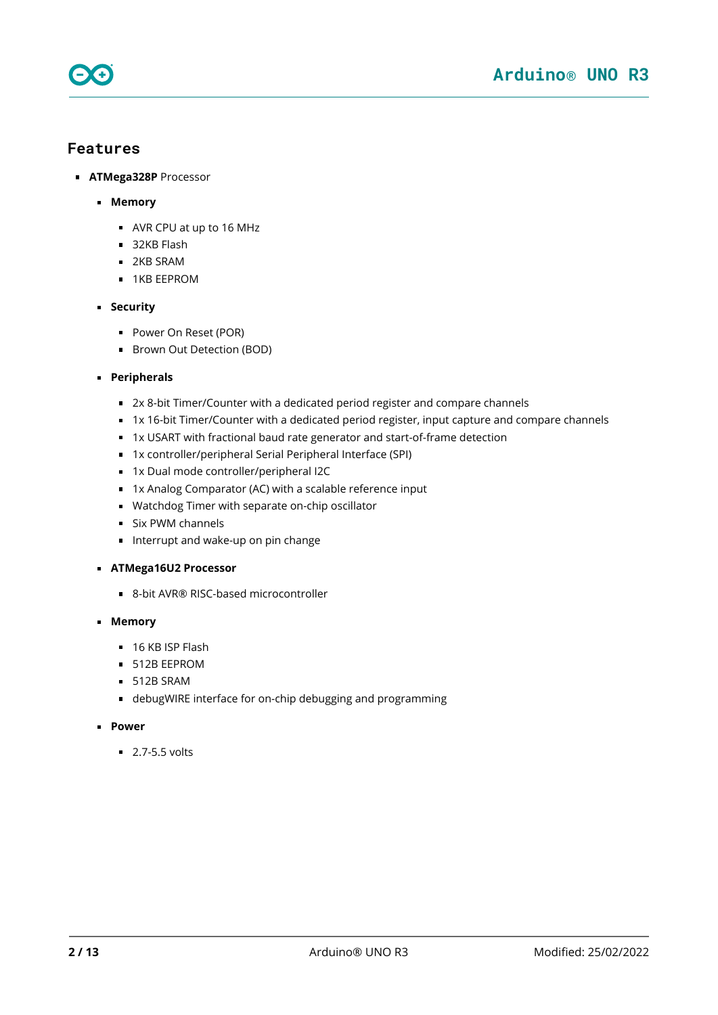

### **Features**

- **ATMega328P** Processor
	- **Memory**
		- AVR CPU at up to 16 MHz
		- 32KB Flash
		- **2KB SRAM**
		- **1KB EEPROM**
	- **Security** 
		- **Power On Reset (POR)**
		- **Brown Out Detection (BOD)**
	- **Peripherals**
		- 2x 8-bit Timer/Counter with a dedicated period register and compare channels
		- 1x 16-bit Timer/Counter with a dedicated period register, input capture and compare channels
		- 1x USART with fractional baud rate generator and start-of-frame detection
		- 1x controller/peripheral Serial Peripheral Interface (SPI)
		- 1x Dual mode controller/peripheral I2C
		- 1x Analog Comparator (AC) with a scalable reference input
		- Watchdog Timer with separate on-chip oscillator
		- **Six PWM channels**
		- Interrupt and wake-up on pin change
	- **ATMega16U2 Processor**
		- 8-bit AVR® RISC-based microcontroller
	- **Memory**
		- $\blacksquare$  16 KB ISP Flash
		- **512B EEPROM**
		- $-512B$  SRAM
		- debugWIRE interface for on-chip debugging and programming
	- **Power** 
		- $\overline{2.7-5.5}$  volts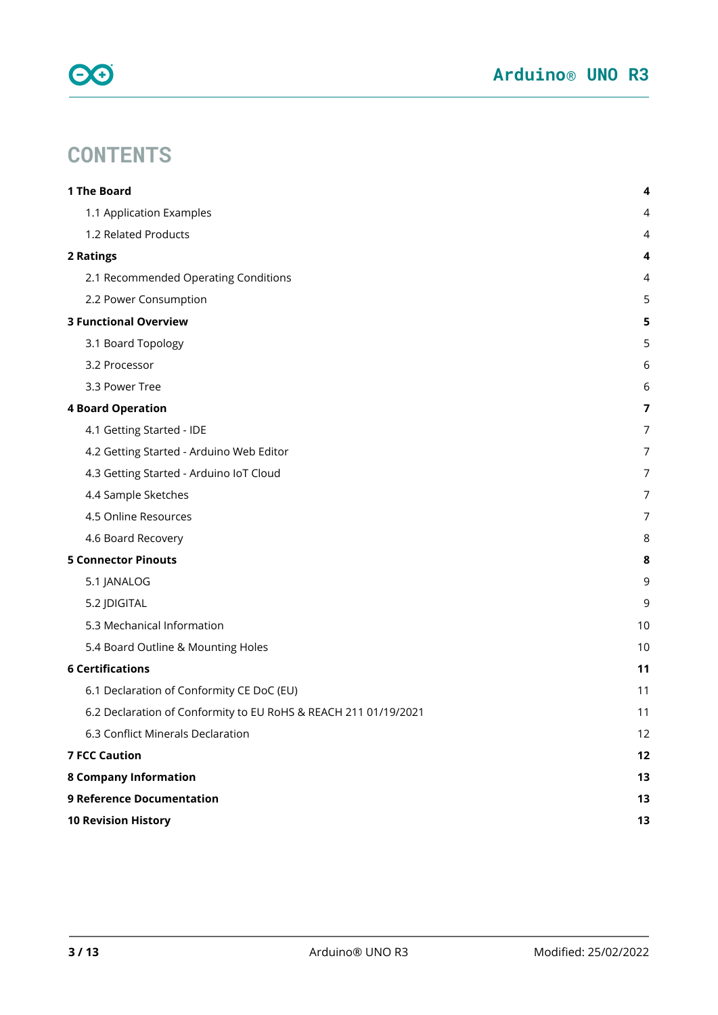

# **CONTENTS**

| 1 The Board                                                     | 4              |
|-----------------------------------------------------------------|----------------|
| 1.1 Application Examples                                        | 4              |
| 1.2 Related Products                                            | 4              |
| 2 Ratings                                                       | 4              |
| 2.1 Recommended Operating Conditions                            | 4              |
| 2.2 Power Consumption                                           | 5              |
| <b>3 Functional Overview</b>                                    | 5              |
| 3.1 Board Topology                                              | 5              |
| 3.2 Processor                                                   | 6              |
| 3.3 Power Tree                                                  | 6              |
| <b>4 Board Operation</b>                                        | $\overline{7}$ |
| 4.1 Getting Started - IDE                                       | 7              |
| 4.2 Getting Started - Arduino Web Editor                        | 7              |
| 4.3 Getting Started - Arduino IoT Cloud                         | 7              |
| 4.4 Sample Sketches                                             | 7              |
| 4.5 Online Resources                                            | 7              |
| 4.6 Board Recovery                                              | 8              |
| <b>5 Connector Pinouts</b>                                      | 8              |
| 5.1 JANALOG                                                     | 9              |
| 5.2 JDIGITAL                                                    | 9              |
| 5.3 Mechanical Information                                      | 10             |
| 5.4 Board Outline & Mounting Holes                              | 10             |
| <b>6 Certifications</b>                                         | 11             |
| 6.1 Declaration of Conformity CE DoC (EU)                       | 11             |
| 6.2 Declaration of Conformity to EU RoHS & REACH 211 01/19/2021 | 11             |
| 6.3 Conflict Minerals Declaration                               | 12             |
| <b>7 FCC Caution</b>                                            | 12             |
| <b>8 Company Information</b>                                    | 13             |
| <b>9 Reference Documentation</b>                                | 13             |
| <b>10 Revision History</b>                                      | 13             |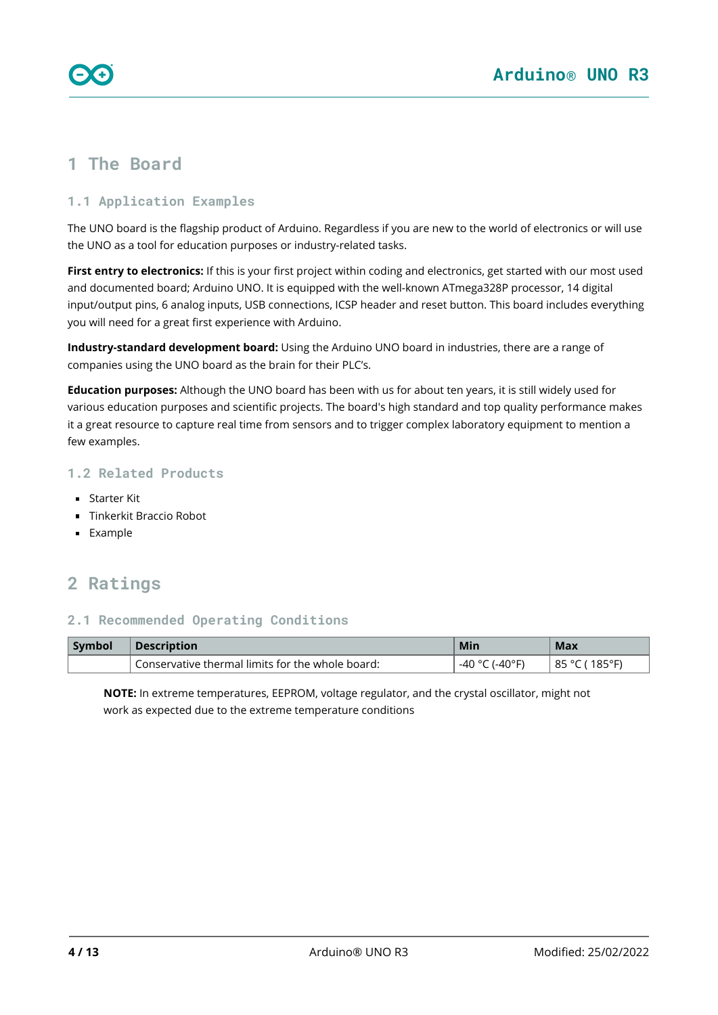# <span id="page-3-0"></span>**1 The Board**

### <span id="page-3-1"></span>**1.1 Application Examples**

The UNO board is the flagship product of Arduino. Regardless if you are new to the world of electronics or will use the UNO as a tool for education purposes or industry-related tasks.

**First entry to electronics:** If this is your first project within coding and electronics, get started with our most used and documented board; Arduino UNO. It is equipped with the well-known ATmega328P processor, 14 digital input/output pins, 6 analog inputs, USB connections, ICSP header and reset button. This board includes everything you will need for a great first experience with Arduino.

**Industry-standard development board:** Using the Arduino UNO board in industries, there are a range of companies using the UNO board as the brain for their PLC's.

**Education purposes:** Although the UNO board has been with us for about ten years, it is still widely used for various education purposes and scientific projects. The board's high standard and top quality performance makes it a great resource to capture real time from sensors and to trigger complex laboratory equipment to mention a few examples.

### <span id="page-3-2"></span>**1.2 Related Products**

- Starter Kit
- **Tinkerkit Braccio Robot**
- **Example**

# <span id="page-3-3"></span>**2 Ratings**

### <span id="page-3-4"></span>**2.1 Recommended Operating Conditions**

| Symbol | <b>Description</b>                               | Min                    | Max                              |
|--------|--------------------------------------------------|------------------------|----------------------------------|
|        | Conservative thermal limits for the whole board: | -40°F<br>-40<br>$\sim$ | $185^{\circ}$ F<br>85<br>$\circ$ |

**NOTE:** In extreme temperatures, EEPROM, voltage regulator, and the crystal oscillator, might not work as expected due to the extreme temperature conditions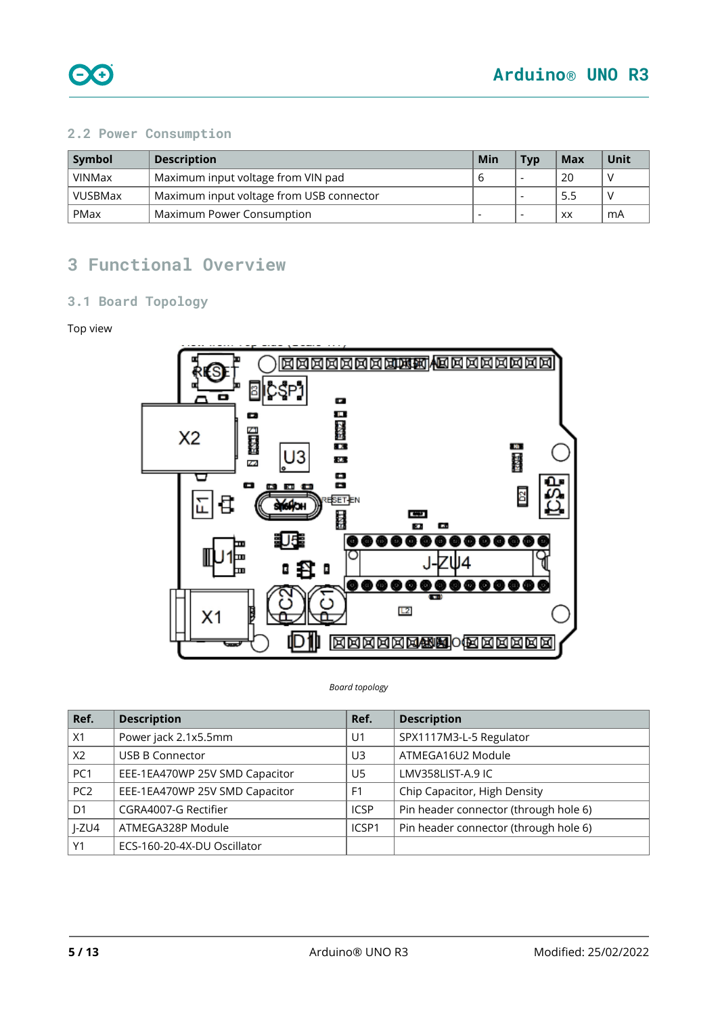

### <span id="page-4-0"></span>**2.2 Power Consumption**

| Symbol        | <b>Description</b>                              | Min | <b>T</b> vp | Max | Unit |
|---------------|-------------------------------------------------|-----|-------------|-----|------|
| <b>VINMax</b> | Maximum input voltage from VIN pad              |     |             | 20  |      |
| VUSBMax       | 5.5<br>Maximum input voltage from USB connector |     |             |     |      |
| PMax          | Maximum Power Consumption                       |     |             | XX  | mA   |

# <span id="page-4-1"></span>**3 Functional Overview**

### <span id="page-4-2"></span>**3.1 Board Topology**

#### Top view



#### *Board topology*

| Ref.            | <b>Description</b>             | Ref.           | <b>Description</b>                    |
|-----------------|--------------------------------|----------------|---------------------------------------|
| X1              | Power jack 2.1x5.5mm           | U <sub>1</sub> | SPX1117M3-L-5 Regulator               |
| X2              | <b>USB B Connector</b>         | U3             | ATMEGA16U2 Module                     |
| PC1             | EEE-1EA470WP 25V SMD Capacitor | U5             | LMV358LIST-A.9 IC                     |
| PC <sub>2</sub> | EEE-1EA470WP 25V SMD Capacitor | F <sub>1</sub> | Chip Capacitor, High Density          |
| D <sub>1</sub>  | CGRA4007-G Rectifier           | <b>ICSP</b>    | Pin header connector (through hole 6) |
| $I-ZU4$         | ATMEGA328P Module              | ICSP1          | Pin header connector (through hole 6) |
| Y1              | ECS-160-20-4X-DU Oscillator    |                |                                       |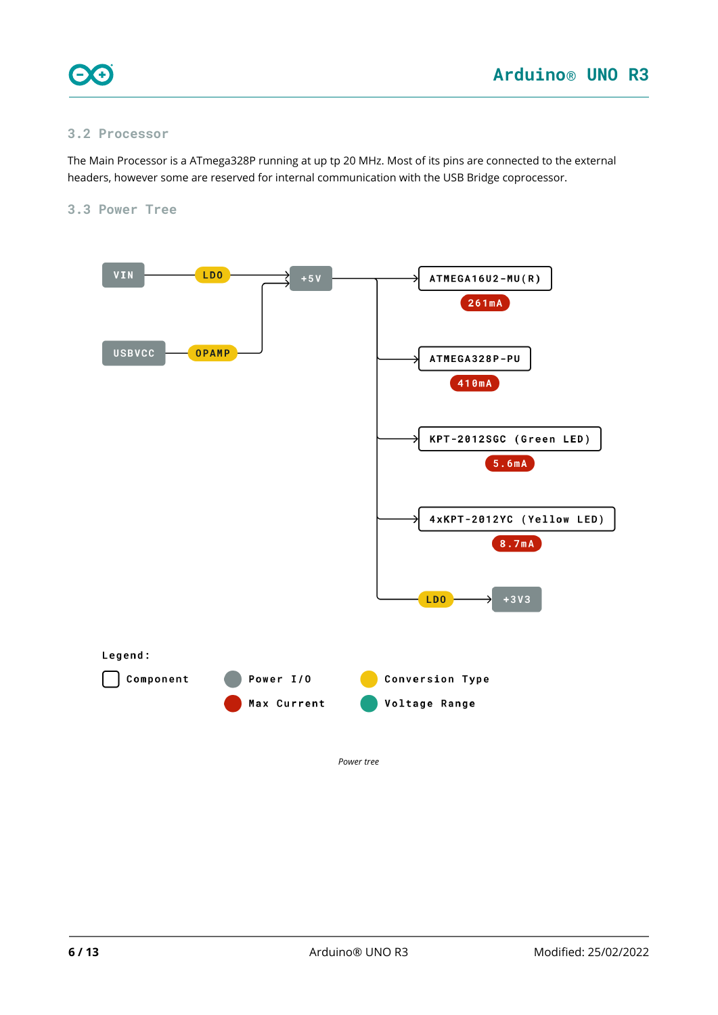

#### <span id="page-5-0"></span>**3.2 Processor**

The Main Processor is a ATmega328P running at up tp 20 MHz. Most of its pins are connected to the external headers, however some are reserved for internal communication with the USB Bridge coprocessor.

#### <span id="page-5-1"></span>**3.3 Power Tree**

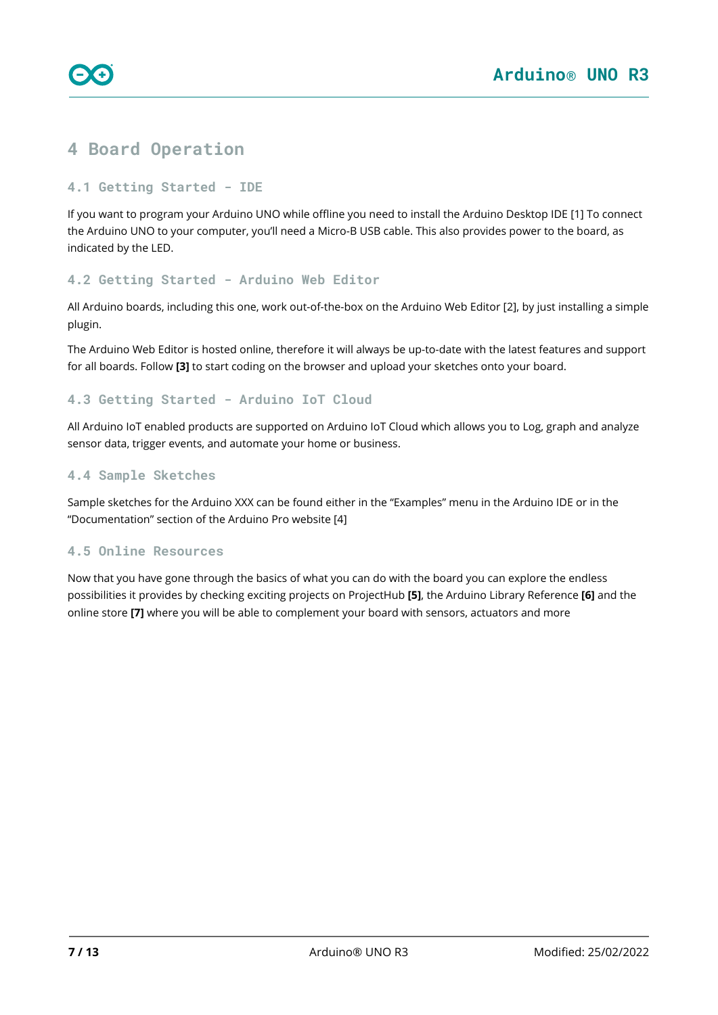

# <span id="page-6-0"></span>**4 Board Operation**

#### <span id="page-6-1"></span>**4.1 Getting Started - IDE**

If you want to program your Arduino UNO while offline you need to install the Arduino Desktop IDE [1] To connect the Arduino UNO to your computer, you'll need a Micro-B USB cable. This also provides power to the board, as indicated by the LED.

#### <span id="page-6-2"></span>**4.2 Getting Started - Arduino Web Editor**

All Arduino boards, including this one, work out-of-the-box on the Arduino Web Editor [2], by just installing a simple plugin.

The Arduino Web Editor is hosted online, therefore it will always be up-to-date with the latest features and support for all boards. Follow **[3]** to start coding on the browser and upload your sketches onto your board.

### <span id="page-6-3"></span>**4.3 Getting Started - Arduino IoT Cloud**

All Arduino IoT enabled products are supported on Arduino IoT Cloud which allows you to Log, graph and analyze sensor data, trigger events, and automate your home or business.

#### <span id="page-6-4"></span>**4.4 Sample Sketches**

Sample sketches for the Arduino XXX can be found either in the "Examples" menu in the Arduino IDE or in the "Documentation" section of the Arduino Pro website [4]

### <span id="page-6-5"></span>**4.5 Online Resources**

Now that you have gone through the basics of what you can do with the board you can explore the endless possibilities it provides by checking exciting projects on ProjectHub **[5]**, the Arduino Library Reference **[6]** and the online store **[7]** where you will be able to complement your board with sensors, actuators and more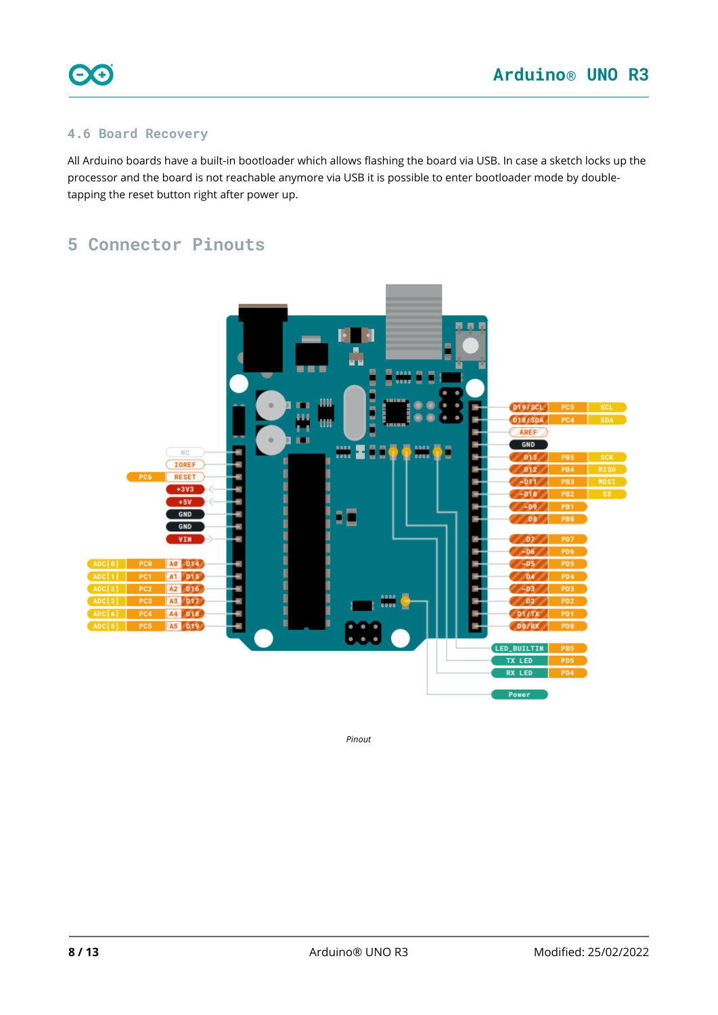

### <span id="page-7-0"></span>**4.6 Board Recovery**

All Arduino boards have a built-in bootloader which allows flashing the board via USB. In case a sketch locks up the processor and the board is not reachable anymore via USB it is possible to enter bootloader mode by doubletapping the reset button right after power up.

# <span id="page-7-1"></span>**5 Connector Pinouts**



*Pinout*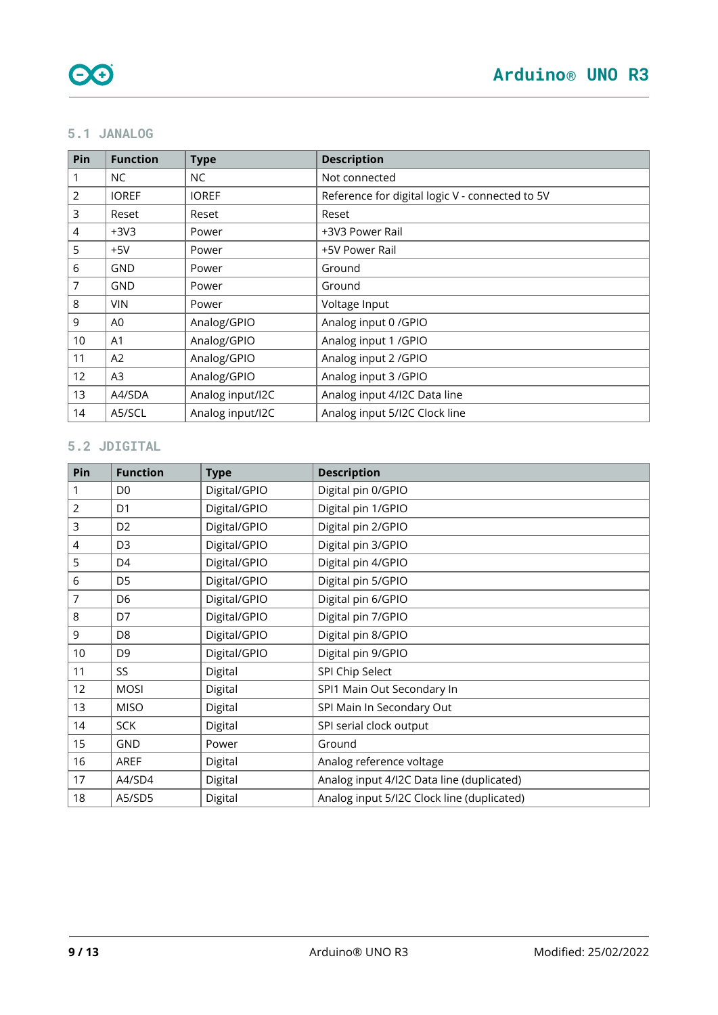### <span id="page-8-0"></span>**5.1 JANALOG**

| Pin            | <b>Function</b> | <b>Type</b>      | <b>Description</b>                              |
|----------------|-----------------|------------------|-------------------------------------------------|
|                | NC.             | NC               | Not connected                                   |
| $\overline{2}$ | <b>IOREF</b>    | <b>IOREF</b>     | Reference for digital logic V - connected to 5V |
| 3              | Reset           | Reset            | Reset                                           |
| $\overline{4}$ | $+3V3$          | Power            | +3V3 Power Rail                                 |
| 5              | $+5V$           | Power            | +5V Power Rail                                  |
| 6              | GND             | Power            | Ground                                          |
| $\overline{7}$ | <b>GND</b>      | Power            | Ground                                          |
| 8              | <b>VIN</b>      | Power            | Voltage Input                                   |
| 9              | A0              | Analog/GPIO      | Analog input 0 / GPIO                           |
| 10             | A1              | Analog/GPIO      | Analog input 1 / GPIO                           |
| 11             | A2              | Analog/GPIO      | Analog input 2 / GPIO                           |
| 12             | A <sub>3</sub>  | Analog/GPIO      | Analog input 3 / GPIO                           |
| 13             | A4/SDA          | Analog input/I2C | Analog input 4/I2C Data line                    |
| 14             | A5/SCL          | Analog input/I2C | Analog input 5/12C Clock line                   |

## <span id="page-8-1"></span>**5.2 JDIGITAL**

| Pin            | <b>Function</b> | <b>Type</b>  | <b>Description</b>                         |
|----------------|-----------------|--------------|--------------------------------------------|
| 1              | D <sub>0</sub>  | Digital/GPIO | Digital pin 0/GPIO                         |
| $\overline{2}$ | D <sub>1</sub>  | Digital/GPIO | Digital pin 1/GPIO                         |
| 3              | D <sub>2</sub>  | Digital/GPIO | Digital pin 2/GPIO                         |
| 4              | D <sub>3</sub>  | Digital/GPIO | Digital pin 3/GPIO                         |
| 5              | D <sub>4</sub>  | Digital/GPIO | Digital pin 4/GPIO                         |
| 6              | D <sub>5</sub>  | Digital/GPIO | Digital pin 5/GPIO                         |
| 7              | D <sub>6</sub>  | Digital/GPIO | Digital pin 6/GPIO                         |
| 8              | D7              | Digital/GPIO | Digital pin 7/GPIO                         |
| 9              | D <sub>8</sub>  | Digital/GPIO | Digital pin 8/GPIO                         |
| 10             | D <sub>9</sub>  | Digital/GPIO | Digital pin 9/GPIO                         |
| 11             | SS              | Digital      | SPI Chip Select                            |
| 12             | <b>MOSI</b>     | Digital      | SPI1 Main Out Secondary In                 |
| 13             | <b>MISO</b>     | Digital      | SPI Main In Secondary Out                  |
| 14             | <b>SCK</b>      | Digital      | SPI serial clock output                    |
| 15             | GND             | Power        | Ground                                     |
| 16             | <b>AREF</b>     | Digital      | Analog reference voltage                   |
| 17             | A4/SD4          | Digital      | Analog input 4/I2C Data line (duplicated)  |
| 18             | A5/SD5          | Digital      | Analog input 5/12C Clock line (duplicated) |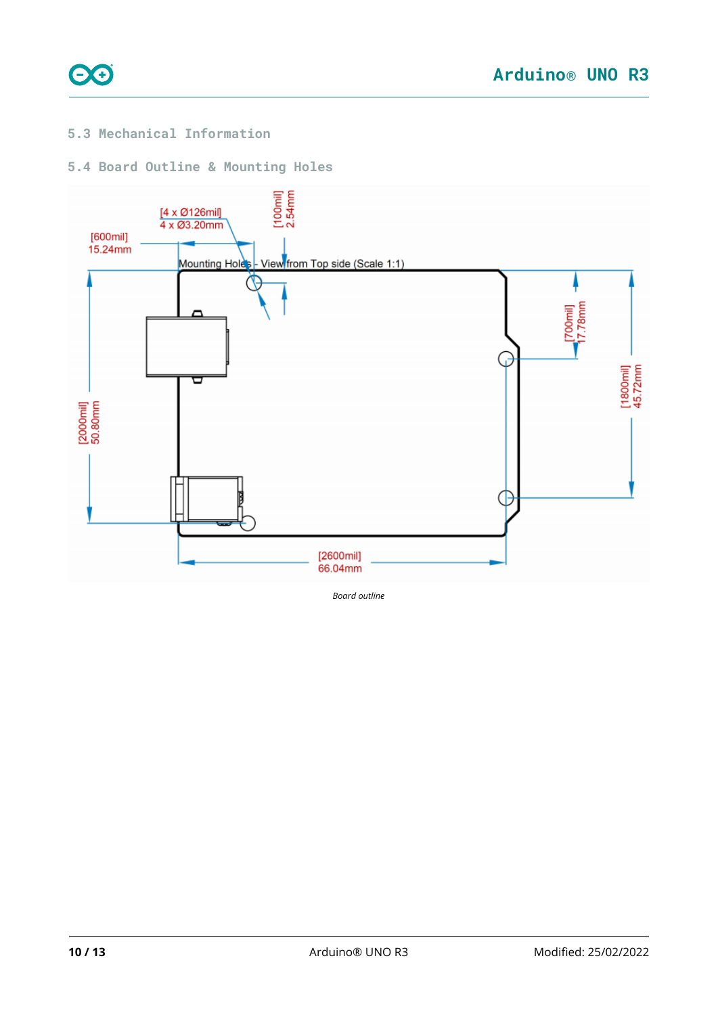

### <span id="page-9-0"></span>**5.3 Mechanical Information**

### <span id="page-9-1"></span>**5.4 Board Outline & Mounting Holes**



*Board outline*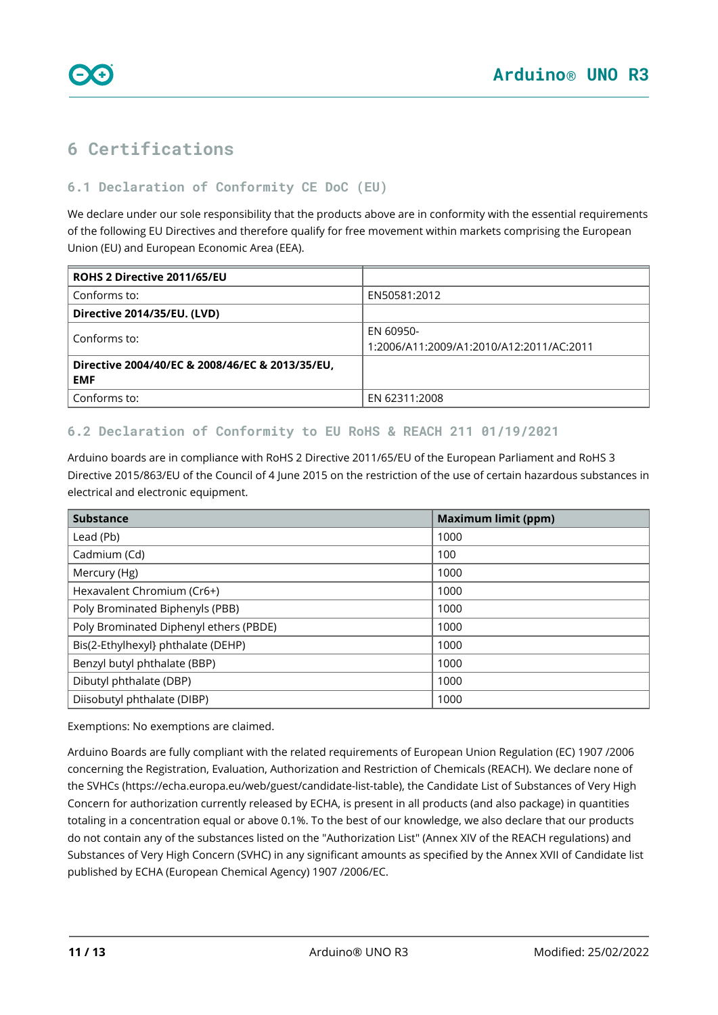<span id="page-10-0"></span>

### <span id="page-10-1"></span>**6.1 Declaration of Conformity CE DoC (EU)**

We declare under our sole responsibility that the products above are in conformity with the essential requirements of the following EU Directives and therefore qualify for free movement within markets comprising the European Union (EU) and European Economic Area (EEA).

| ROHS 2 Directive 2011/65/EU                                   |                                                       |
|---------------------------------------------------------------|-------------------------------------------------------|
| Conforms to:                                                  | EN50581:2012                                          |
| Directive 2014/35/EU. (LVD)                                   |                                                       |
| Conforms to:                                                  | EN 60950-<br>1:2006/A11:2009/A1:2010/A12:2011/AC:2011 |
| Directive 2004/40/EC & 2008/46/EC & 2013/35/EU,<br><b>EMF</b> |                                                       |
| Conforms to:                                                  | EN 62311:2008                                         |

### <span id="page-10-2"></span>**6.2 Declaration of Conformity to EU RoHS & REACH 211 01/19/2021**

Arduino boards are in compliance with RoHS 2 Directive 2011/65/EU of the European Parliament and RoHS 3 Directive 2015/863/EU of the Council of 4 June 2015 on the restriction of the use of certain hazardous substances in electrical and electronic equipment.

| <b>Substance</b>                       | <b>Maximum limit (ppm)</b> |
|----------------------------------------|----------------------------|
| Lead (Pb)                              | 1000                       |
| Cadmium (Cd)                           | 100                        |
| Mercury (Hg)                           | 1000                       |
| Hexavalent Chromium (Cr6+)             | 1000                       |
| Poly Brominated Biphenyls (PBB)        | 1000                       |
| Poly Brominated Diphenyl ethers (PBDE) | 1000                       |
| Bis(2-Ethylhexyl} phthalate (DEHP)     | 1000                       |
| Benzyl butyl phthalate (BBP)           | 1000                       |
| Dibutyl phthalate (DBP)                | 1000                       |
| Diisobutyl phthalate (DIBP)            | 1000                       |

Exemptions: No exemptions are claimed.

Arduino Boards are fully compliant with the related requirements of European Union Regulation (EC) 1907 /2006 concerning the Registration, Evaluation, Authorization and Restriction of Chemicals (REACH). We declare none of the SVHCs (<https://echa.europa.eu/web/guest/candidate-list-table>), the Candidate List of Substances of Very High Concern for authorization currently released by ECHA, is present in all products (and also package) in quantities totaling in a concentration equal or above 0.1%. To the best of our knowledge, we also declare that our products do not contain any of the substances listed on the "Authorization List" (Annex XIV of the REACH regulations) and Substances of Very High Concern (SVHC) in any significant amounts as specified by the Annex XVII of Candidate list published by ECHA (European Chemical Agency) 1907 /2006/EC.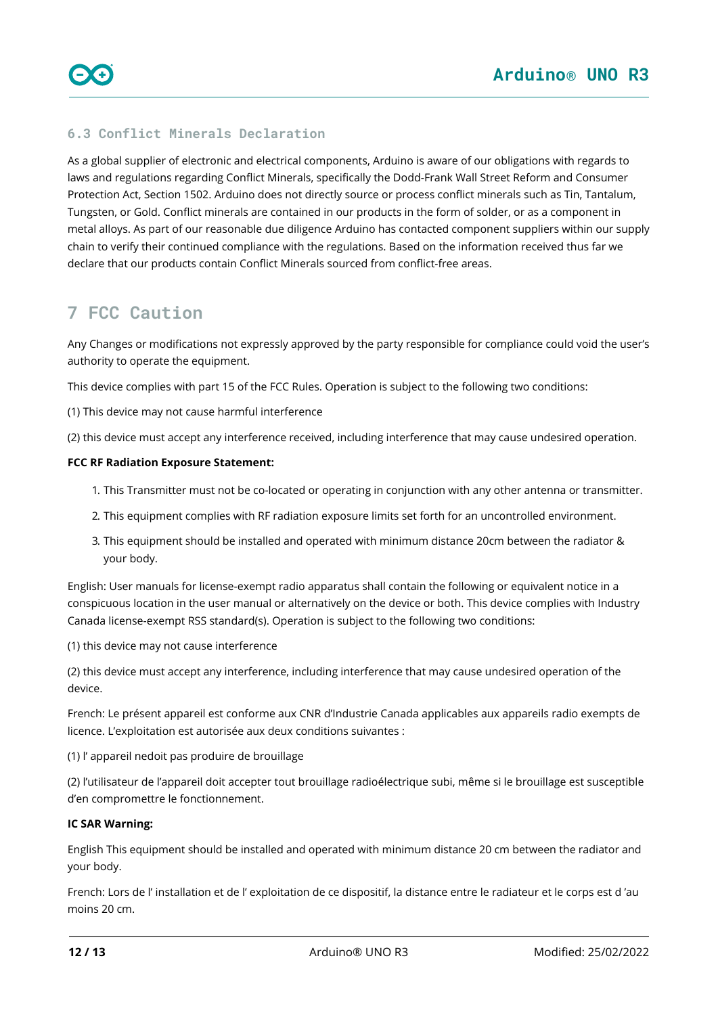### <span id="page-11-0"></span>**6.3 Conflict Minerals Declaration**

As a global supplier of electronic and electrical components, Arduino is aware of our obligations with regards to laws and regulations regarding Conflict Minerals, specifically the Dodd-Frank Wall Street Reform and Consumer Protection Act, Section 1502. Arduino does not directly source or process conflict minerals such as Tin, Tantalum, Tungsten, or Gold. Conflict minerals are contained in our products in the form of solder, or as a component in metal alloys. As part of our reasonable due diligence Arduino has contacted component suppliers within our supply chain to verify their continued compliance with the regulations. Based on the information received thus far we declare that our products contain Conflict Minerals sourced from conflict-free areas.

# <span id="page-11-1"></span>**7 FCC Caution**

Any Changes or modifications not expressly approved by the party responsible for compliance could void the user's authority to operate the equipment.

This device complies with part 15 of the FCC Rules. Operation is subject to the following two conditions:

(1) This device may not cause harmful interference

(2) this device must accept any interference received, including interference that may cause undesired operation.

#### **FCC RF Radiation Exposure Statement:**

- 1. This Transmitter must not be co-located or operating in conjunction with any other antenna or transmitter.
- 2. This equipment complies with RF radiation exposure limits set forth for an uncontrolled environment.
- 3. This equipment should be installed and operated with minimum distance 20cm between the radiator & your body.

English: User manuals for license-exempt radio apparatus shall contain the following or equivalent notice in a conspicuous location in the user manual or alternatively on the device or both. This device complies with Industry Canada license-exempt RSS standard(s). Operation is subject to the following two conditions:

(1) this device may not cause interference

(2) this device must accept any interference, including interference that may cause undesired operation of the device.

French: Le présent appareil est conforme aux CNR d'Industrie Canada applicables aux appareils radio exempts de licence. L'exploitation est autorisée aux deux conditions suivantes :

(1) l' appareil nedoit pas produire de brouillage

(2) l'utilisateur de l'appareil doit accepter tout brouillage radioélectrique subi, même si le brouillage est susceptible d'en compromettre le fonctionnement.

#### **IC SAR Warning:**

English This equipment should be installed and operated with minimum distance 20 cm between the radiator and your body.

French: Lors de l' installation et de l' exploitation de ce dispositif, la distance entre le radiateur et le corps est d 'au moins 20 cm.